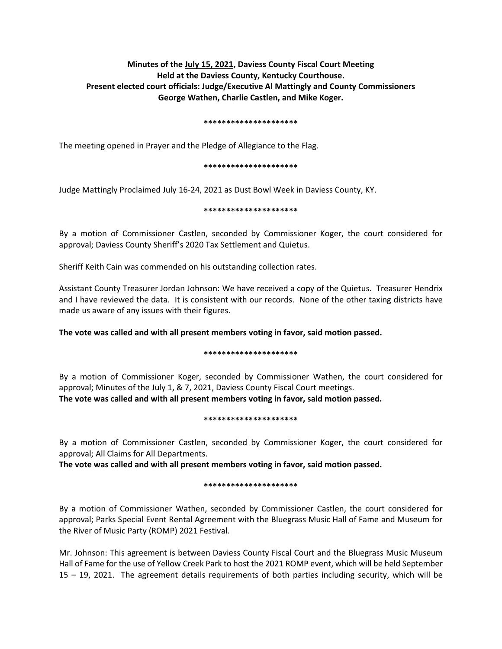# **Minutes of the July 15, 2021, Daviess County Fiscal Court Meeting Held at the Daviess County, Kentucky Courthouse. Present elected court officials: Judge/Executive Al Mattingly and County Commissioners George Wathen, Charlie Castlen, and Mike Koger.**

#### **\*\*\*\*\*\*\*\*\*\*\*\*\*\*\*\*\*\*\*\*\***

The meeting opened in Prayer and the Pledge of Allegiance to the Flag.

#### **\*\*\*\*\*\*\*\*\*\*\*\*\*\*\*\*\*\*\*\*\***

Judge Mattingly Proclaimed July 16-24, 2021 as Dust Bowl Week in Daviess County, KY.

#### **\*\*\*\*\*\*\*\*\*\*\*\*\*\*\*\*\*\*\*\*\***

By a motion of Commissioner Castlen, seconded by Commissioner Koger, the court considered for approval; Daviess County Sheriff's 2020 Tax Settlement and Quietus.

Sheriff Keith Cain was commended on his outstanding collection rates.

Assistant County Treasurer Jordan Johnson: We have received a copy of the Quietus. Treasurer Hendrix and I have reviewed the data. It is consistent with our records. None of the other taxing districts have made us aware of any issues with their figures.

**The vote was called and with all present members voting in favor, said motion passed.**

## **\*\*\*\*\*\*\*\*\*\*\*\*\*\*\*\*\*\*\*\*\***

By a motion of Commissioner Koger, seconded by Commissioner Wathen, the court considered for approval; Minutes of the July 1, & 7, 2021, Daviess County Fiscal Court meetings. **The vote was called and with all present members voting in favor, said motion passed.** 

#### **\*\*\*\*\*\*\*\*\*\*\*\*\*\*\*\*\*\*\*\*\***

By a motion of Commissioner Castlen, seconded by Commissioner Koger, the court considered for approval; All Claims for All Departments.

**The vote was called and with all present members voting in favor, said motion passed.** 

## **\*\*\*\*\*\*\*\*\*\*\*\*\*\*\*\*\*\*\*\*\***

By a motion of Commissioner Wathen, seconded by Commissioner Castlen, the court considered for approval; Parks Special Event Rental Agreement with the Bluegrass Music Hall of Fame and Museum for the River of Music Party (ROMP) 2021 Festival.

Mr. Johnson: This agreement is between Daviess County Fiscal Court and the Bluegrass Music Museum Hall of Fame for the use of Yellow Creek Park to host the 2021 ROMP event, which will be held September 15 – 19, 2021. The agreement details requirements of both parties including security, which will be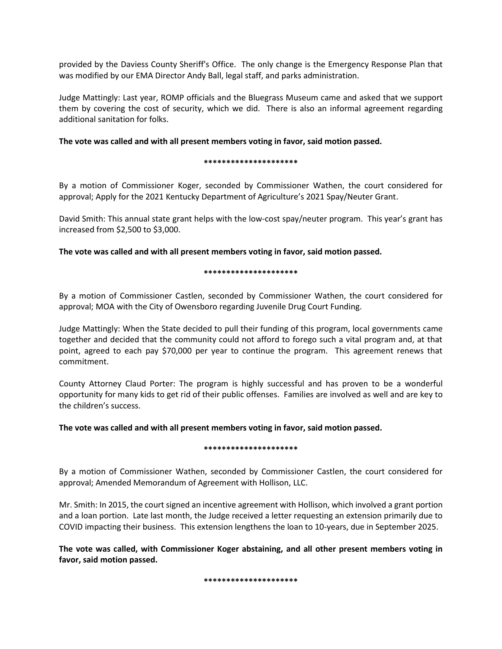provided by the Daviess County Sheriff's Office. The only change is the Emergency Response Plan that was modified by our EMA Director Andy Ball, legal staff, and parks administration.

Judge Mattingly: Last year, ROMP officials and the Bluegrass Museum came and asked that we support them by covering the cost of security, which we did. There is also an informal agreement regarding additional sanitation for folks.

## **The vote was called and with all present members voting in favor, said motion passed.**

#### **\*\*\*\*\*\*\*\*\*\*\*\*\*\*\*\*\*\*\*\*\***

By a motion of Commissioner Koger, seconded by Commissioner Wathen, the court considered for approval; Apply for the 2021 Kentucky Department of Agriculture's 2021 Spay/Neuter Grant.

David Smith: This annual state grant helps with the low-cost spay/neuter program. This year's grant has increased from \$2,500 to \$3,000.

**The vote was called and with all present members voting in favor, said motion passed.**

## **\*\*\*\*\*\*\*\*\*\*\*\*\*\*\*\*\*\*\*\*\***

By a motion of Commissioner Castlen, seconded by Commissioner Wathen, the court considered for approval; MOA with the City of Owensboro regarding Juvenile Drug Court Funding.

Judge Mattingly: When the State decided to pull their funding of this program, local governments came together and decided that the community could not afford to forego such a vital program and, at that point, agreed to each pay \$70,000 per year to continue the program. This agreement renews that commitment.

County Attorney Claud Porter: The program is highly successful and has proven to be a wonderful opportunity for many kids to get rid of their public offenses. Families are involved as well and are key to the children's success.

**The vote was called and with all present members voting in favor, said motion passed.**

## **\*\*\*\*\*\*\*\*\*\*\*\*\*\*\*\*\*\*\*\*\***

By a motion of Commissioner Wathen, seconded by Commissioner Castlen, the court considered for approval; Amended Memorandum of Agreement with Hollison, LLC.

Mr. Smith: In 2015, the court signed an incentive agreement with Hollison, which involved a grant portion and a loan portion. Late last month, the Judge received a letter requesting an extension primarily due to COVID impacting their business. This extension lengthens the loan to 10-years, due in September 2025.

**The vote was called, with Commissioner Koger abstaining, and all other present members voting in favor, said motion passed.**

**\*\*\*\*\*\*\*\*\*\*\*\*\*\*\*\*\*\*\*\*\***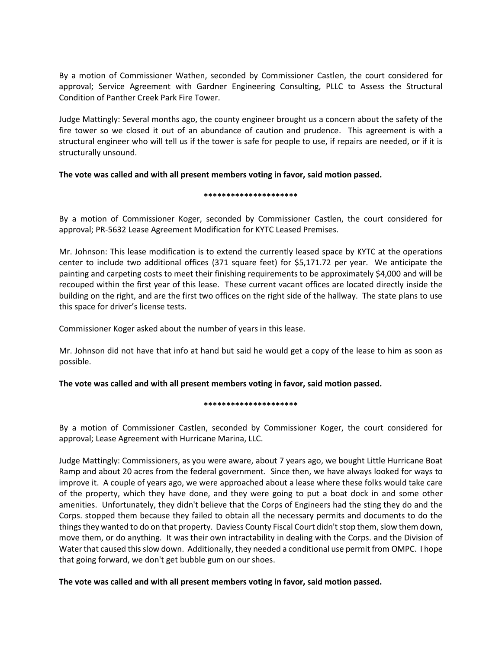By a motion of Commissioner Wathen, seconded by Commissioner Castlen, the court considered for approval; Service Agreement with Gardner Engineering Consulting, PLLC to Assess the Structural Condition of Panther Creek Park Fire Tower.

Judge Mattingly: Several months ago, the county engineer brought us a concern about the safety of the fire tower so we closed it out of an abundance of caution and prudence. This agreement is with a structural engineer who will tell us if the tower is safe for people to use, if repairs are needed, or if it is structurally unsound.

## **The vote was called and with all present members voting in favor, said motion passed.**

#### **\*\*\*\*\*\*\*\*\*\*\*\*\*\*\*\*\*\*\*\*\***

By a motion of Commissioner Koger, seconded by Commissioner Castlen, the court considered for approval; PR-5632 Lease Agreement Modification for KYTC Leased Premises.

Mr. Johnson: This lease modification is to extend the currently leased space by KYTC at the operations center to include two additional offices (371 square feet) for \$5,171.72 per year. We anticipate the painting and carpeting costs to meet their finishing requirements to be approximately \$4,000 and will be recouped within the first year of this lease. These current vacant offices are located directly inside the building on the right, and are the first two offices on the right side of the hallway. The state plans to use this space for driver's license tests.

Commissioner Koger asked about the number of years in this lease.

Mr. Johnson did not have that info at hand but said he would get a copy of the lease to him as soon as possible.

## **The vote was called and with all present members voting in favor, said motion passed.**

## **\*\*\*\*\*\*\*\*\*\*\*\*\*\*\*\*\*\*\*\*\***

By a motion of Commissioner Castlen, seconded by Commissioner Koger, the court considered for approval; Lease Agreement with Hurricane Marina, LLC.

Judge Mattingly: Commissioners, as you were aware, about 7 years ago, we bought Little Hurricane Boat Ramp and about 20 acres from the federal government. Since then, we have always looked for ways to improve it. A couple of years ago, we were approached about a lease where these folks would take care of the property, which they have done, and they were going to put a boat dock in and some other amenities. Unfortunately, they didn't believe that the Corps of Engineers had the sting they do and the Corps. stopped them because they failed to obtain all the necessary permits and documents to do the things they wanted to do on that property. Daviess County Fiscal Court didn't stop them, slow them down, move them, or do anything. It was their own intractability in dealing with the Corps. and the Division of Water that caused this slow down. Additionally, they needed a conditional use permit from OMPC. I hope that going forward, we don't get bubble gum on our shoes.

## **The vote was called and with all present members voting in favor, said motion passed.**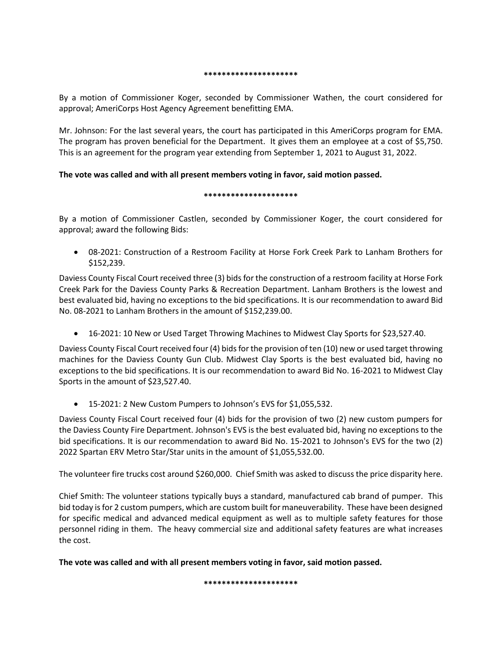#### **\*\*\*\*\*\*\*\*\*\*\*\*\*\*\*\*\*\*\*\*\***

By a motion of Commissioner Koger, seconded by Commissioner Wathen, the court considered for approval; AmeriCorps Host Agency Agreement benefitting EMA.

Mr. Johnson: For the last several years, the court has participated in this AmeriCorps program for EMA. The program has proven beneficial for the Department. It gives them an employee at a cost of \$5,750. This is an agreement for the program year extending from September 1, 2021 to August 31, 2022.

## **The vote was called and with all present members voting in favor, said motion passed.**

## **\*\*\*\*\*\*\*\*\*\*\*\*\*\*\*\*\*\*\*\*\***

By a motion of Commissioner Castlen, seconded by Commissioner Koger, the court considered for approval; award the following Bids:

 08-2021: Construction of a Restroom Facility at Horse Fork Creek Park to Lanham Brothers for \$152,239.

Daviess County Fiscal Court received three (3) bids for the construction of a restroom facility at Horse Fork Creek Park for the Daviess County Parks & Recreation Department. Lanham Brothers is the lowest and best evaluated bid, having no exceptions to the bid specifications. It is our recommendation to award Bid No. 08-2021 to Lanham Brothers in the amount of \$152,239.00.

16-2021: 10 New or Used Target Throwing Machines to Midwest Clay Sports for \$23,527.40.

Daviess County Fiscal Court received four (4) bids for the provision of ten (10) new or used target throwing machines for the Daviess County Gun Club. Midwest Clay Sports is the best evaluated bid, having no exceptions to the bid specifications. It is our recommendation to award Bid No. 16-2021 to Midwest Clay Sports in the amount of \$23,527.40.

15-2021: 2 New Custom Pumpers to Johnson's EVS for \$1,055,532.

Daviess County Fiscal Court received four (4) bids for the provision of two (2) new custom pumpers for the Daviess County Fire Department. Johnson's EVS is the best evaluated bid, having no exceptions to the bid specifications. It is our recommendation to award Bid No. 15-2021 to Johnson's EVS for the two (2) 2022 Spartan ERV Metro Star/Star units in the amount of \$1,055,532.00.

The volunteer fire trucks cost around \$260,000. Chief Smith was asked to discuss the price disparity here.

Chief Smith: The volunteer stations typically buys a standard, manufactured cab brand of pumper. This bid today is for 2 custom pumpers, which are custom built for maneuverability. These have been designed for specific medical and advanced medical equipment as well as to multiple safety features for those personnel riding in them. The heavy commercial size and additional safety features are what increases the cost.

**The vote was called and with all present members voting in favor, said motion passed.**

**\*\*\*\*\*\*\*\*\*\*\*\*\*\*\*\*\*\*\*\*\***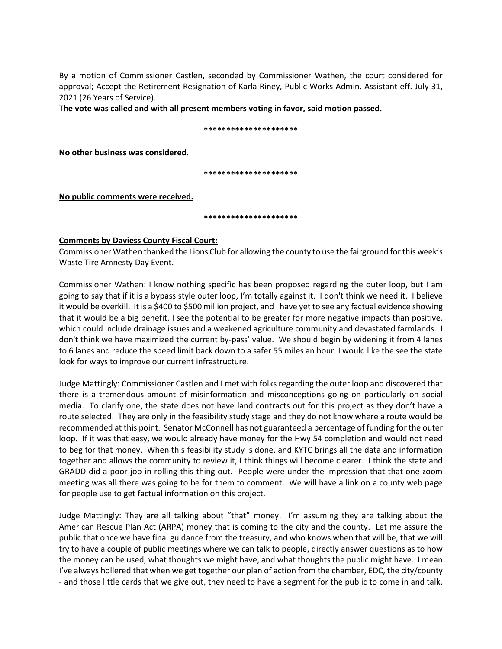By a motion of Commissioner Castlen, seconded by Commissioner Wathen, the court considered for approval; Accept the Retirement Resignation of Karla Riney, Public Works Admin. Assistant eff. July 31, 2021 (26 Years of Service).

**The vote was called and with all present members voting in favor, said motion passed.**

#### **\*\*\*\*\*\*\*\*\*\*\*\*\*\*\*\*\*\*\*\*\***

**No other business was considered.**

**\*\*\*\*\*\*\*\*\*\*\*\*\*\*\*\*\*\*\*\*\***

**No public comments were received.**

**\*\*\*\*\*\*\*\*\*\*\*\*\*\*\*\*\*\*\*\*\***

## **Comments by Daviess County Fiscal Court:**

Commissioner Wathen thanked the Lions Club for allowing the county to use the fairground for this week's Waste Tire Amnesty Day Event.

Commissioner Wathen: I know nothing specific has been proposed regarding the outer loop, but I am going to say that if it is a bypass style outer loop, I'm totally against it. I don't think we need it. I believe it would be overkill. It is a \$400 to \$500 million project, and I have yet to see any factual evidence showing that it would be a big benefit. I see the potential to be greater for more negative impacts than positive, which could include drainage issues and a weakened agriculture community and devastated farmlands. I don't think we have maximized the current by-pass' value. We should begin by widening it from 4 lanes to 6 lanes and reduce the speed limit back down to a safer 55 miles an hour. I would like the see the state look for ways to improve our current infrastructure.

Judge Mattingly: Commissioner Castlen and I met with folks regarding the outer loop and discovered that there is a tremendous amount of misinformation and misconceptions going on particularly on social media. To clarify one, the state does not have land contracts out for this project as they don't have a route selected. They are only in the feasibility study stage and they do not know where a route would be recommended at this point. Senator McConnell has not guaranteed a percentage of funding for the outer loop. If it was that easy, we would already have money for the Hwy 54 completion and would not need to beg for that money. When this feasibility study is done, and KYTC brings all the data and information together and allows the community to review it, I think things will become clearer. I think the state and GRADD did a poor job in rolling this thing out. People were under the impression that that one zoom meeting was all there was going to be for them to comment. We will have a link on a county web page for people use to get factual information on this project.

Judge Mattingly: They are all talking about "that" money. I'm assuming they are talking about the American Rescue Plan Act (ARPA) money that is coming to the city and the county. Let me assure the public that once we have final guidance from the treasury, and who knows when that will be, that we will try to have a couple of public meetings where we can talk to people, directly answer questions as to how the money can be used, what thoughts we might have, and what thoughts the public might have. I mean I've always hollered that when we get together our plan of action from the chamber, EDC, the city/county - and those little cards that we give out, they need to have a segment for the public to come in and talk.